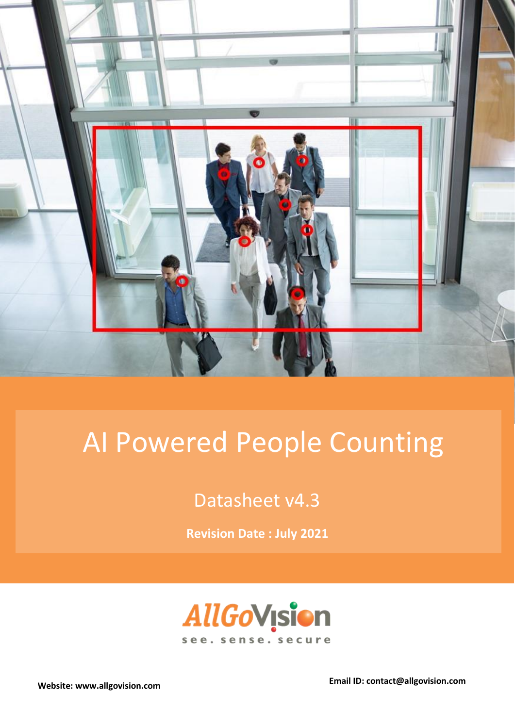

# AI Powered People Counting

Datasheet v4.3

**Revision Date : July 2021**



**Website: www.allgovision.com Email ID: contact@allgovision.com**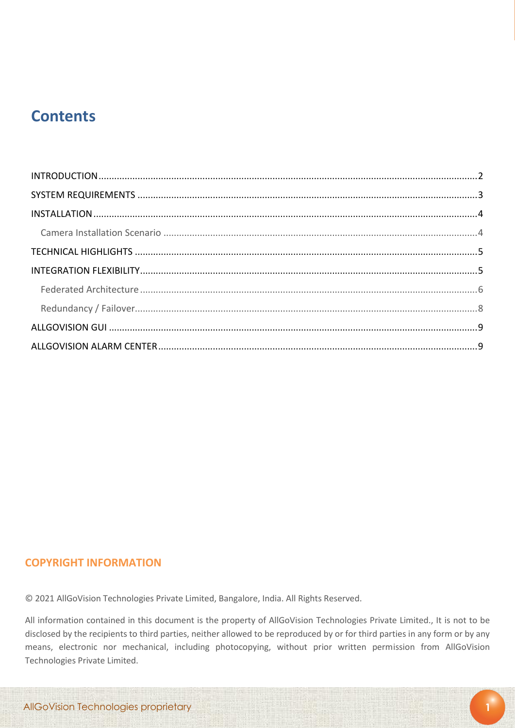## **Contents**

#### **COPYRIGHT INFORMATION**

© 2021 AllGoVision Technologies Private Limited, Bangalore, India. All Rights Reserved.

All information contained in this document is the property of AllGoVision Technologies Private Limited., It is not to be disclosed by the recipients to third parties, neither allowed to be reproduced by or for third parties in any form or by any means, electronic nor mechanical, including photocopying, without prior written permission from AllGoVision Technologies Private Limited.

**1**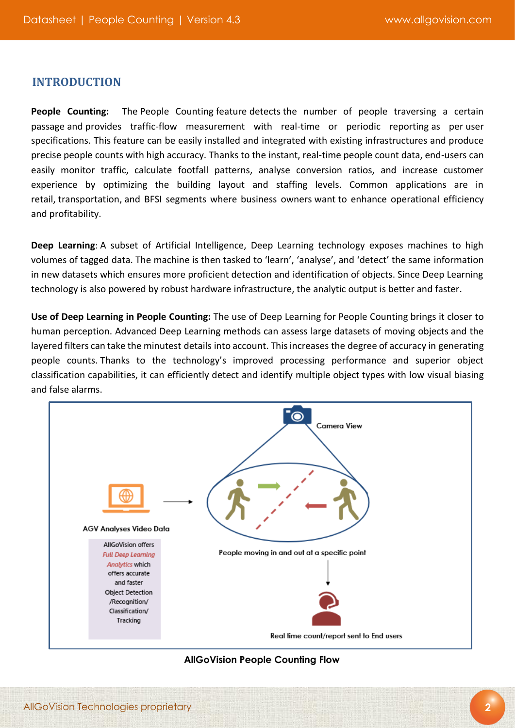#### **INTRODUCTION**

**People Counting:** The People Counting feature detects the number of people traversing a certain passage and provides traffic-flow measurement with real-time or periodic reporting as per user specifications. This feature can be easily installed and integrated with existing infrastructures and produce precise people counts with high accuracy. Thanks to the instant, real-time people count data, end-users can easily monitor traffic, calculate footfall patterns, analyse conversion ratios, and increase customer experience by optimizing the building layout and staffing levels. Common applications are in retail, transportation, and BFSI segments where business owners want to enhance operational efficiency and profitability.

**Deep Learning**: A subset of Artificial Intelligence, Deep Learning technology exposes machines to high volumes of tagged data. The machine is then tasked to 'learn', 'analyse', and 'detect' the same information in new datasets which ensures more proficient detection and identification of objects. Since Deep Learning technology is also powered by robust hardware infrastructure, the analytic output is better and faster.

**Use of Deep Learning in People Counting:** The use of Deep Learning for People Counting brings it closer to human perception. Advanced Deep Learning methods can assess large datasets of moving objects and the layered filters can take the minutest details into account. This increases the degree of accuracy in generating people counts. Thanks to the technology's improved processing performance and superior object classification capabilities, it can efficiently detect and identify multiple object types with low visual biasing and false alarms.



#### **AllGoVision People Counting Flow**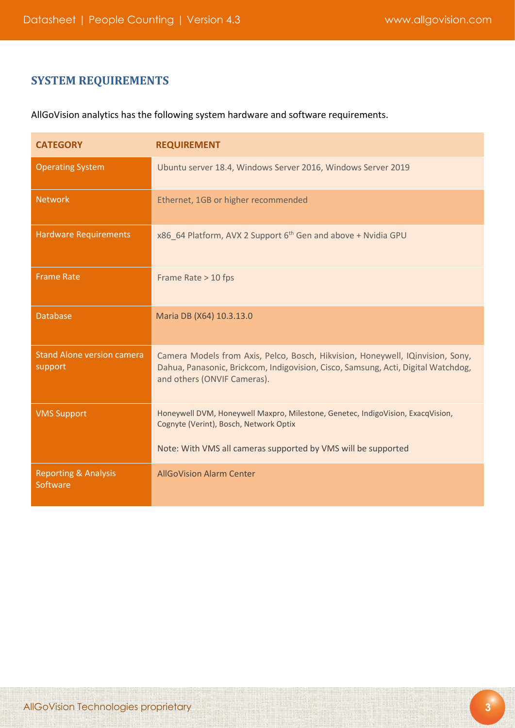### **SYSTEM REQUIREMENTS**

AllGoVision analytics has the following system hardware and software requirements.

| <b>CATEGORY</b>                              | <b>REQUIREMENT</b>                                                                                                                                                                                 |
|----------------------------------------------|----------------------------------------------------------------------------------------------------------------------------------------------------------------------------------------------------|
| <b>Operating System</b>                      | Ubuntu server 18.4, Windows Server 2016, Windows Server 2019                                                                                                                                       |
| <b>Network</b>                               | Ethernet, 1GB or higher recommended                                                                                                                                                                |
| <b>Hardware Requirements</b>                 | x86_64 Platform, AVX 2 Support 6 <sup>th</sup> Gen and above + Nvidia GPU                                                                                                                          |
| <b>Frame Rate</b>                            | Frame Rate > 10 fps                                                                                                                                                                                |
| <b>Database</b>                              | Maria DB (X64) 10.3.13.0                                                                                                                                                                           |
| <b>Stand Alone version camera</b><br>support | Camera Models from Axis, Pelco, Bosch, Hikvision, Honeywell, IQinvision, Sony,<br>Dahua, Panasonic, Brickcom, Indigovision, Cisco, Samsung, Acti, Digital Watchdog,<br>and others (ONVIF Cameras). |
| <b>VMS Support</b>                           | Honeywell DVM, Honeywell Maxpro, Milestone, Genetec, IndigoVision, ExacqVision,<br>Cognyte (Verint), Bosch, Network Optix                                                                          |
|                                              | Note: With VMS all cameras supported by VMS will be supported                                                                                                                                      |
| <b>Reporting &amp; Analysis</b><br>Software  | <b>AllGoVision Alarm Center</b>                                                                                                                                                                    |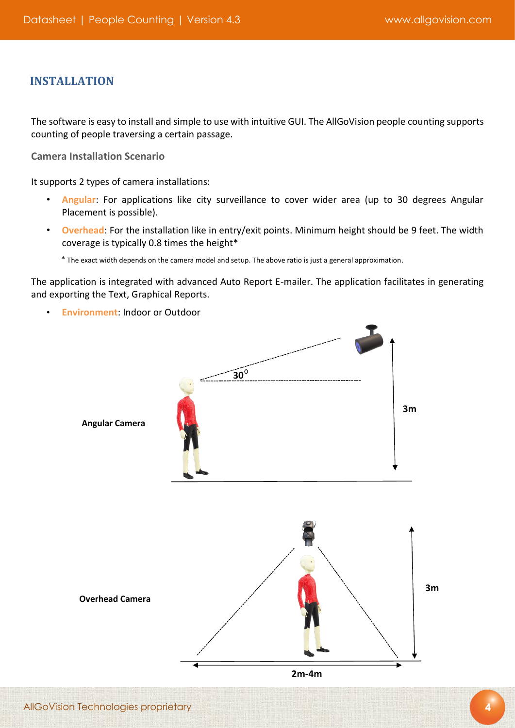#### **INSTALLATION**

The software is easy to install and simple to use with intuitive GUI. The AllGoVision people counting supports counting of people traversing a certain passage.

<span id="page-4-0"></span>**Camera Installation Scenario** 

It supports 2 types of camera installations:

- **Angular**: For applications like city surveillance to cover wider area (up to 30 degrees Angular Placement is possible).
- **Overhead**: For the installation like in entry/exit points. Minimum height should be 9 feet. The width coverage is typically 0.8 times the height\*

\* The exact width depends on the camera model and setup. The above ratio is just a general approximation.

The application is integrated with advanced Auto Report E-mailer. The application facilitates in generating and exporting the Text, Graphical Reports.

• **Environment**: Indoor or Outdoor

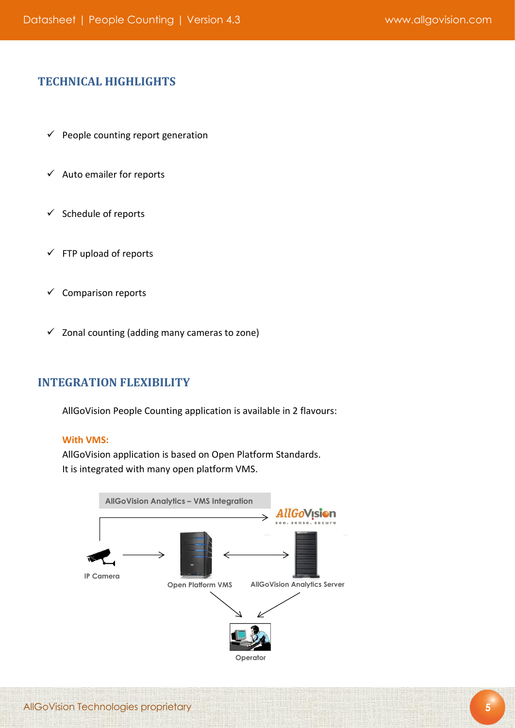#### **TECHNICAL HIGHLIGHTS**

- $\checkmark$  People counting report generation
- $\checkmark$  Auto emailer for reports
- $\checkmark$  Schedule of reports
- $\checkmark$  FTP upload of reports
- $\checkmark$  Comparison reports
- $\checkmark$  Zonal counting (adding many cameras to zone)

#### **INTEGRATION FLEXIBILITY**

AllGoVision People Counting application is available in 2 flavours:

#### **With VMS:**

AllGoVision application is based on Open Platform Standards. It is integrated with many open platform VMS.

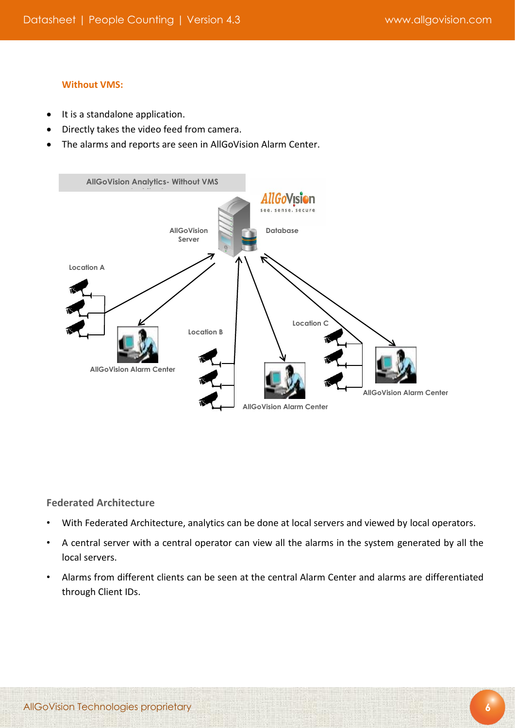#### **Without VMS:**

- It is a standalone application.
- Directly takes the video feed from camera.
- The alarms and reports are seen in AllGoVision Alarm Center.



#### <span id="page-6-0"></span>**Federated Architecture**

- With Federated Architecture, analytics can be done at local servers and viewed by local operators.
- A central server with a central operator can view all the alarms in the system generated by all the local servers.
- Alarms from different clients can be seen at the central Alarm Center and alarms are differentiated through Client IDs.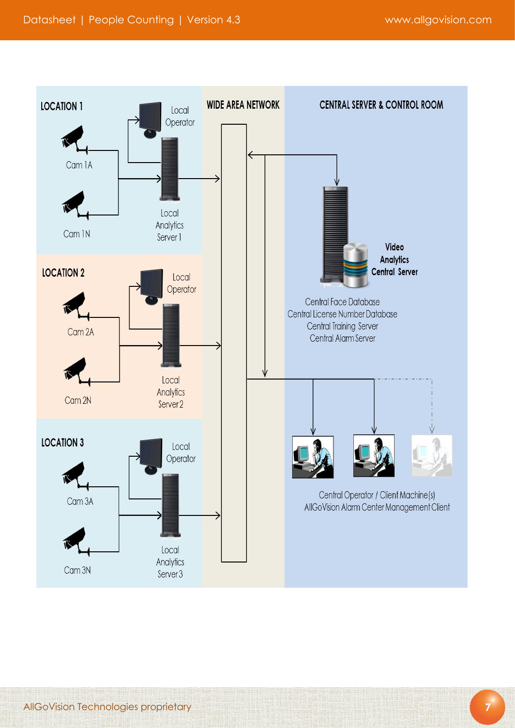

**7**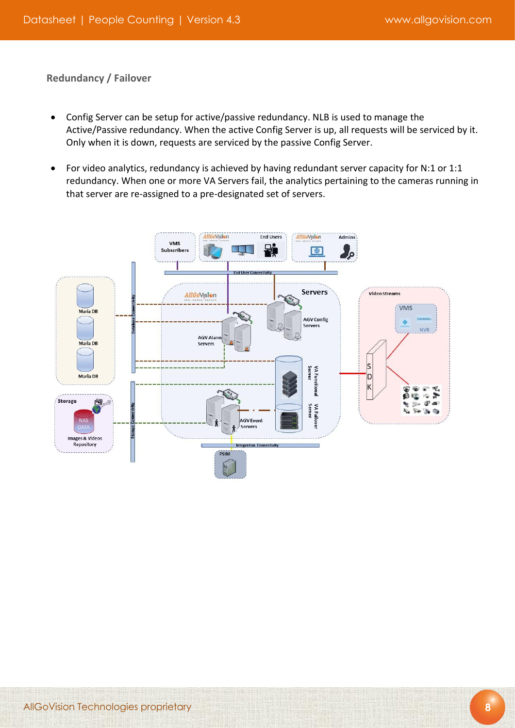<span id="page-8-0"></span>**Redundancy / Failover**

- Config Server can be setup for active/passive redundancy. NLB is used to manage the Active/Passive redundancy. When the active Config Server is up, all requests will be serviced by it. Only when it is down, requests are serviced by the passive Config Server.
- For video analytics, redundancy is achieved by having redundant server capacity for N:1 or 1:1 redundancy. When one or more VA Servers fail, the analytics pertaining to the cameras running in that server are re-assigned to a pre-designated set of servers.

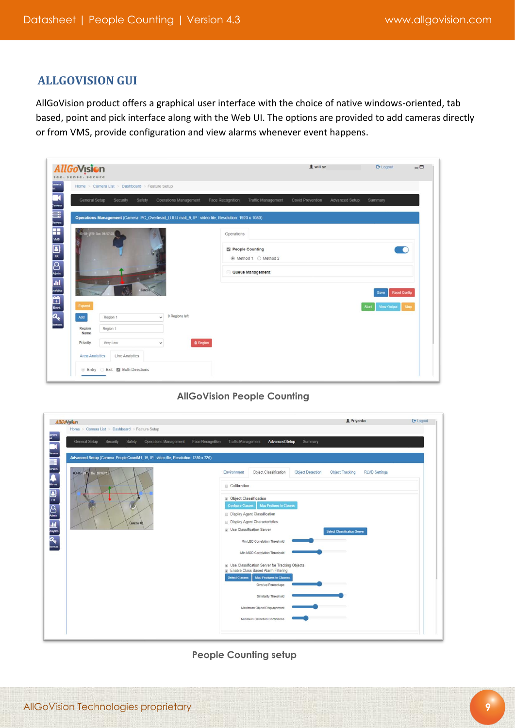#### **ALLGOVISION GUI**

AllGoVision product offers a graphical user interface with the choice of native windows-oriented, tab based, point and pick interface along with the Web UI. The options are provided to add cameras directly or from VMS, provide configuration and view alarms whenever event happens.

| <b>AllGoVision</b><br>. sense. secure<br>see                      |                                                |                                 |                                                                                                  | 1 will sn                          | <b>C</b> + Logout                     | $ -$ |
|-------------------------------------------------------------------|------------------------------------------------|---------------------------------|--------------------------------------------------------------------------------------------------|------------------------------------|---------------------------------------|------|
| lamera<br>Ist                                                     | Home > Camera List > Dashboard > Feature Setup |                                 |                                                                                                  |                                    |                                       |      |
| General Setup                                                     | Security<br>Safety                             | Operations Management           | Face Recognition<br>Traffic Management                                                           | Covid Prevention<br>Advanced Setup | Summary                               |      |
|                                                                   |                                                |                                 | Operations Management (Camera: PC_Overhead_LULU mall_9, IP: video file, Resolution: 1920 x 1080) |                                    |                                       |      |
| <b>Billis G</b> « Q i E { { E } { A } f<br>01-18-1970 Sun 20:57:2 | Cancre (                                       |                                 | Operations<br>People Counting<br>◉ Method 1 ○ Method 2<br>Queue Management                       |                                    | $\Box$<br><b>Reset Config</b><br>Save |      |
| Expand<br>Add                                                     | Region 1                                       | 9 Regions left<br>$\checkmark$  |                                                                                                  |                                    | <b>Start</b><br><b>View Output</b>    | Stop |
| Region<br>Name                                                    | Region 1                                       |                                 |                                                                                                  |                                    |                                       |      |
| Priority                                                          | Very Low                                       | <b>官 Region</b><br>$\checkmark$ |                                                                                                  |                                    |                                       |      |
| Area Analytics                                                    | Line Analytics                                 |                                 |                                                                                                  |                                    |                                       |      |
|                                                                   | Entry Exit Both Directions                     |                                 |                                                                                                  |                                    |                                       |      |

#### **AllGoVision People Counting**

| AllGoVision                                                                                                                                                                                                                                                                                     |                                                                                                      | <b>1</b> Priyanka<br><b>E</b> • Logout                                                                                                                                                                                                                                                                                                                                                                                                                                                                                                       |
|-------------------------------------------------------------------------------------------------------------------------------------------------------------------------------------------------------------------------------------------------------------------------------------------------|------------------------------------------------------------------------------------------------------|----------------------------------------------------------------------------------------------------------------------------------------------------------------------------------------------------------------------------------------------------------------------------------------------------------------------------------------------------------------------------------------------------------------------------------------------------------------------------------------------------------------------------------------------|
| amera<br>General Setup                                                                                                                                                                                                                                                                          | Home > Camera List > Dashboard > Feature Setup<br>Safety<br><b>Operations Management</b><br>Security | Traffic Management<br><b>Advanced Setup</b><br>Face Recognition<br>Summary                                                                                                                                                                                                                                                                                                                                                                                                                                                                   |
| Camera<br><b>Camera</b><br>Servers                                                                                                                                                                                                                                                              | Advanced Setup (Camera: PeopleCountM1 15, IP : video file, Resolution: 1280 x 720)                   |                                                                                                                                                                                                                                                                                                                                                                                                                                                                                                                                              |
| 63-65-2015 Thu 18:08:12                                                                                                                                                                                                                                                                         |                                                                                                      | Environment<br>Object Classification<br><b>Object Detection</b><br><b>RLVD Settings</b><br><b>Object Tracking</b>                                                                                                                                                                                                                                                                                                                                                                                                                            |
|                                                                                                                                                                                                                                                                                                 | Calibration                                                                                          |                                                                                                                                                                                                                                                                                                                                                                                                                                                                                                                                              |
| $\begin{tabular}{ c c } \hline \quad \quad & \quad \quad & \quad \quad & \quad \quad \\ \hline \quad \quad & \quad \quad & \quad \quad \\ \hline \quad \quad & \quad \quad & \quad \quad \\ \tiny \text{Amin} & \quad \quad & \quad \quad \\ \end{tabular}$<br><b>ELE</b><br><sub>Elegant</sub> | Camera 01                                                                                            | ■ Object Classification<br><b>Configure Classes</b><br>Map Features to Classes<br><b>Display Agent Classification</b><br><b>Display Agent Characteristics</b><br><b>De Classification Server</b><br><b>Select Classification Server</b><br>Min LBD Correlation Threshold<br>Min MOD Correlation Threshold<br><b>De Use Classification Server for Tracking Objects</b><br>Enable Class Based Alarm Filtering<br><b>Select Classes</b><br>Map Features to Classes<br>Overlap Percentage<br>Similarity Threshold<br>Maximum Object Displacement |

**People Counting setup**